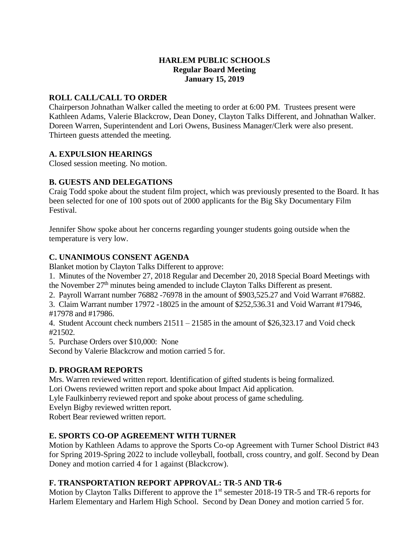## **HARLEM PUBLIC SCHOOLS Regular Board Meeting January 15, 2019**

## **ROLL CALL/CALL TO ORDER**

Chairperson Johnathan Walker called the meeting to order at 6:00 PM. Trustees present were Kathleen Adams, Valerie Blackcrow, Dean Doney, Clayton Talks Different, and Johnathan Walker. Doreen Warren, Superintendent and Lori Owens, Business Manager/Clerk were also present. Thirteen guests attended the meeting.

# **A. EXPULSION HEARINGS**

Closed session meeting. No motion.

# **B. GUESTS AND DELEGATIONS**

Craig Todd spoke about the student film project, which was previously presented to the Board. It has been selected for one of 100 spots out of 2000 applicants for the Big Sky Documentary Film Festival.

Jennifer Show spoke about her concerns regarding younger students going outside when the temperature is very low.

# **C. UNANIMOUS CONSENT AGENDA**

Blanket motion by Clayton Talks Different to approve:

1. Minutes of the November 27, 2018 Regular and December 20, 2018 Special Board Meetings with the November 27<sup>th</sup> minutes being amended to include Clayton Talks Different as present.

2. Payroll Warrant number 76882 -76978 in the amount of \$903,525.27 and Void Warrant #76882.

3. Claim Warrant number 17972 -18025 in the amount of \$252,536.31 and Void Warrant #17946, #17978 and #17986.

4. Student Account check numbers 21511 – 21585 in the amount of \$26,323.17 and Void check #21502.

5. Purchase Orders over \$10,000: None

Second by Valerie Blackcrow and motion carried 5 for.

## **D. PROGRAM REPORTS**

Mrs. Warren reviewed written report. Identification of gifted students is being formalized.

Lori Owens reviewed written report and spoke about Impact Aid application.

Lyle Faulkinberry reviewed report and spoke about process of game scheduling.

Evelyn Bigby reviewed written report.

Robert Bear reviewed written report.

# **E. SPORTS CO-OP AGREEMENT WITH TURNER**

Motion by Kathleen Adams to approve the Sports Co-op Agreement with Turner School District #43 for Spring 2019-Spring 2022 to include volleyball, football, cross country, and golf. Second by Dean Doney and motion carried 4 for 1 against (Blackcrow).

## **F. TRANSPORTATION REPORT APPROVAL: TR-5 AND TR-6**

Motion by Clayton Talks Different to approve the 1<sup>st</sup> semester 2018-19 TR-5 and TR-6 reports for Harlem Elementary and Harlem High School. Second by Dean Doney and motion carried 5 for.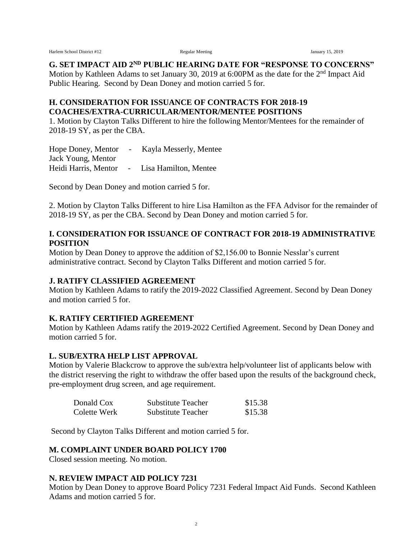Harlem School District #12 **Regular Meeting Regular Meeting** January 15, 2019

**G. SET IMPACT AID 2ND PUBLIC HEARING DATE FOR "RESPONSE TO CONCERNS"**

Motion by Kathleen Adams to set January 30, 2019 at 6:00PM as the date for the 2<sup>nd</sup> Impact Aid Public Hearing. Second by Dean Doney and motion carried 5 for.

#### **H. CONSIDERATION FOR ISSUANCE OF CONTRACTS FOR 2018-19 COACHES/EXTRA-CURRICULAR/MENTOR/MENTEE POSITIONS**

1. Motion by Clayton Talks Different to hire the following Mentor/Mentees for the remainder of 2018-19 SY, as per the CBA.

Hope Doney, Mentor - Kayla Messerly, Mentee Jack Young, Mentor Heidi Harris, Mentor - Lisa Hamilton, Mentee

Second by Dean Doney and motion carried 5 for.

2. Motion by Clayton Talks Different to hire Lisa Hamilton as the FFA Advisor for the remainder of 2018-19 SY, as per the CBA. Second by Dean Doney and motion carried 5 for.

#### **I. CONSIDERATION FOR ISSUANCE OF CONTRACT FOR 2018-19 ADMINISTRATIVE POSITION**

Motion by Dean Doney to approve the addition of \$2,156.00 to Bonnie Nesslar's current administrative contract. Second by Clayton Talks Different and motion carried 5 for.

## **J. RATIFY CLASSIFIED AGREEMENT**

Motion by Kathleen Adams to ratify the 2019-2022 Classified Agreement. Second by Dean Doney and motion carried 5 for.

## **K. RATIFY CERTIFIED AGREEMENT**

Motion by Kathleen Adams ratify the 2019-2022 Certified Agreement. Second by Dean Doney and motion carried 5 for.

## **L. SUB/EXTRA HELP LIST APPROVAL**

Motion by Valerie Blackcrow to approve the sub/extra help/volunteer list of applicants below with the district reserving the right to withdraw the offer based upon the results of the background check, pre-employment drug screen, and age requirement.

| Donald Cox   | <b>Substitute Teacher</b> | \$15.38 |
|--------------|---------------------------|---------|
| Colette Werk | <b>Substitute Teacher</b> | \$15.38 |

Second by Clayton Talks Different and motion carried 5 for.

#### **M. COMPLAINT UNDER BOARD POLICY 1700**

Closed session meeting. No motion.

#### **N. REVIEW IMPACT AID POLICY 7231**

Motion by Dean Doney to approve Board Policy 7231 Federal Impact Aid Funds. Second Kathleen Adams and motion carried 5 for.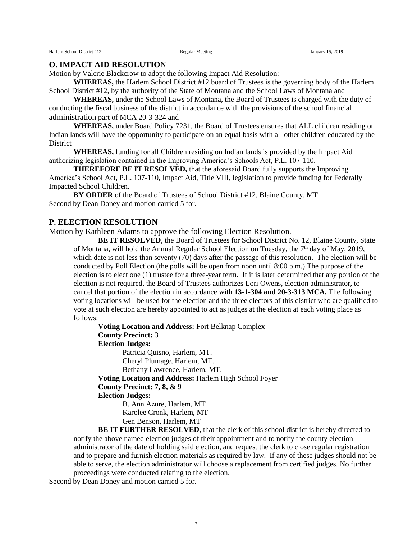#### **O. IMPACT AID RESOLUTION**

Motion by Valerie Blackcrow to adopt the following Impact Aid Resolution:

**WHEREAS,** the Harlem School District #12 board of Trustees is the governing body of the Harlem School District #12, by the authority of the State of Montana and the School Laws of Montana and

**WHEREAS,** under the School Laws of Montana, the Board of Trustees is charged with the duty of conducting the fiscal business of the district in accordance with the provisions of the school financial administration part of MCA 20-3-324 and

**WHEREAS,** under Board Policy 7231, the Board of Trustees ensures that ALL children residing on Indian lands will have the opportunity to participate on an equal basis with all other children educated by the District

**WHEREAS,** funding for all Children residing on Indian lands is provided by the Impact Aid authorizing legislation contained in the Improving America's Schools Act, P.L. 107-110.

**THEREFORE BE IT RESOLVED,** that the aforesaid Board fully supports the Improving America's School Act, P.L. 107-110, Impact Aid, Title VIII, legislation to provide funding for Federally Impacted School Children.

**BY ORDER** of the Board of Trustees of School District #12, Blaine County, MT Second by Dean Doney and motion carried 5 for.

#### **P. ELECTION RESOLUTION**

Motion by Kathleen Adams to approve the following Election Resolution.

**BE IT RESOLVED**, the Board of Trustees for School District No. 12, Blaine County, State of Montana, will hold the Annual Regular School Election on Tuesday, the 7<sup>th</sup> day of May, 2019, which date is not less than seventy (70) days after the passage of this resolution. The election will be conducted by Poll Election (the polls will be open from noon until 8:00 p.m.) The purpose of the election is to elect one (1) trustee for a three-year term. If it is later determined that any portion of the election is not required, the Board of Trustees authorizes Lori Owens, election administrator, to cancel that portion of the election in accordance with **13-1-304 and 20-3-313 MCA.** The following voting locations will be used for the election and the three electors of this district who are qualified to vote at such election are hereby appointed to act as judges at the election at each voting place as follows:

**Voting Location and Address:** Fort Belknap Complex **County Precinct:** 3 **Election Judges:** Patricia Quisno, Harlem, MT. Cheryl Plumage, Harlem, MT. Bethany Lawrence, Harlem, MT.

**Voting Location and Address:** Harlem High School Foyer

**County Precinct: 7, 8, & 9**

**Election Judges:**

B. Ann Azure, Harlem, MT Karolee Cronk, Harlem, MT Gen Benson, Harlem, MT

**BE IT FURTHER RESOLVED,** that the clerk of this school district is hereby directed to notify the above named election judges of their appointment and to notify the county election administrator of the date of holding said election, and request the clerk to close regular registration and to prepare and furnish election materials as required by law. If any of these judges should not be able to serve, the election administrator will choose a replacement from certified judges. No further proceedings were conducted relating to the election.

Second by Dean Doney and motion carried 5 for.